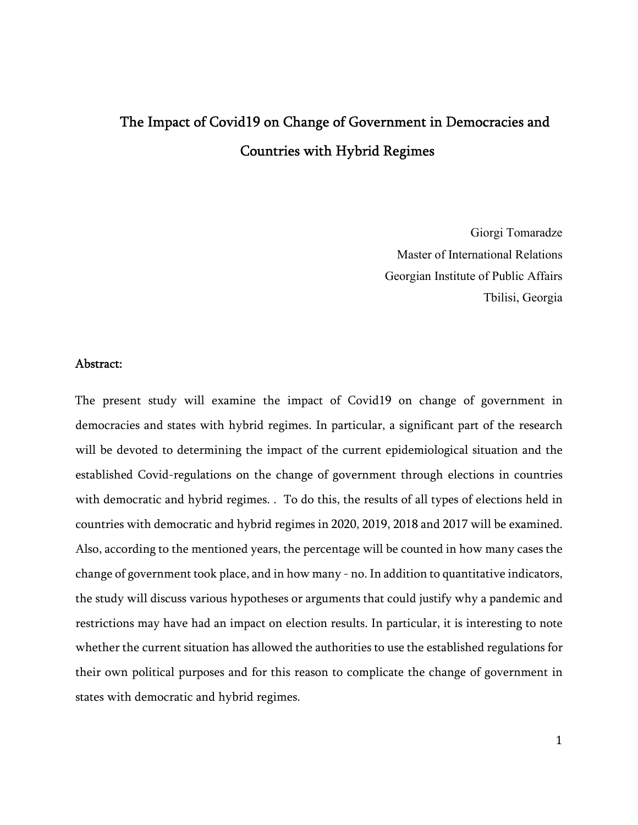# The Impact of Covid19 on Change of Government in Democracies and Countries with Hybrid Regimes

Giorgi Tomaradze Master of International Relations Georgian Institute of Public Affairs Tbilisi, Georgia

#### Abstract:

The present study will examine the impact of Covid19 on change of government in democracies and states with hybrid regimes. In particular, a significant part of the research will be devoted to determining the impact of the current epidemiological situation and the established Covid-regulations on the change of government through elections in countries with democratic and hybrid regimes. . To do this, the results of all types of elections held in countries with democratic and hybrid regimes in 2020, 2019, 2018 and 2017 will be examined. Also, according to the mentioned years, the percentage will be counted in how many cases the change of government took place, and in how many - no. In addition to quantitative indicators, the study will discuss various hypotheses or arguments that could justify why a pandemic and restrictions may have had an impact on election results. In particular, it is interesting to note whether the current situation has allowed the authorities to use the established regulations for their own political purposes and for this reason to complicate the change of government in states with democratic and hybrid regimes.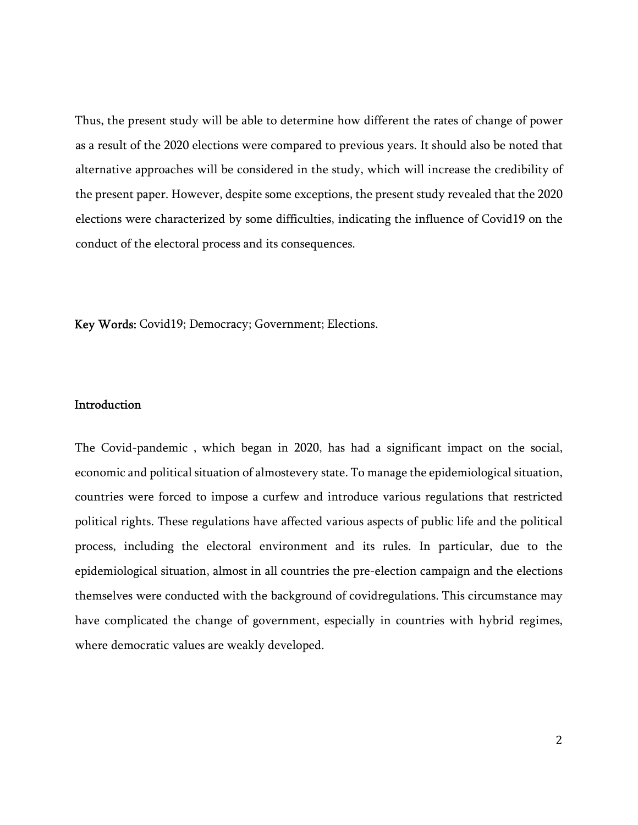Thus, the present study will be able to determine how different the rates of change of power as a result of the 2020 elections were compared to previous years. It should also be noted that alternative approaches will be considered in the study, which will increase the credibility of the present paper. However, despite some exceptions, the present study revealed that the 2020 elections were characterized by some difficulties, indicating the influence of Covid19 on the conduct of the electoral process and its consequences.

Key Words: Covid19; Democracy; Government; Elections.

#### **Introduction**

The Covid-pandemic , which began in 2020, has had a significant impact on the social, economic and political situation of almostevery state. To manage the epidemiological situation, countries were forced to impose a curfew and introduce various regulations that restricted political rights. These regulations have affected various aspects of public life and the political process, including the electoral environment and its rules. In particular, due to the epidemiological situation, almost in all countries the pre-election campaign and the elections themselves were conducted with the background of covidregulations. This circumstance may have complicated the change of government, especially in countries with hybrid regimes, where democratic values are weakly developed.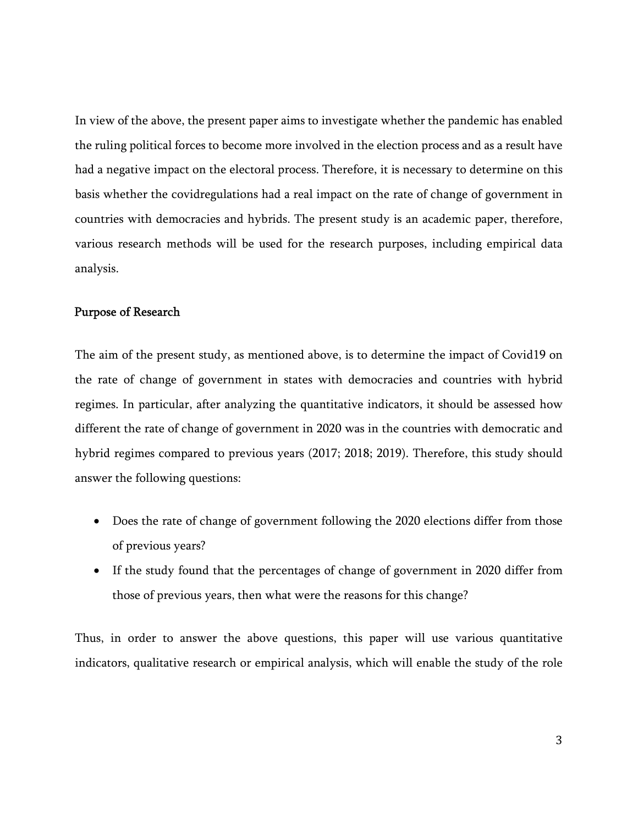In view of the above, the present paper aims to investigate whether the pandemic has enabled the ruling political forces to become more involved in the election process and as a result have had a negative impact on the electoral process. Therefore, it is necessary to determine on this basis whether the covidregulations had a real impact on the rate of change of government in countries with democracies and hybrids. The present study is an academic paper, therefore, various research methods will be used for the research purposes, including empirical data analysis.

#### Purpose of Research

The aim of the present study, as mentioned above, is to determine the impact of Covid19 on the rate of change of government in states with democracies and countries with hybrid regimes. In particular, after analyzing the quantitative indicators, it should be assessed how different the rate of change of government in 2020 was in the countries with democratic and hybrid regimes compared to previous years (2017; 2018; 2019). Therefore, this study should answer the following questions:

- Does the rate of change of government following the 2020 elections differ from those of previous years?
- If the study found that the percentages of change of government in 2020 differ from those of previous years, then what were the reasons for this change?

Thus, in order to answer the above questions, this paper will use various quantitative indicators, qualitative research or empirical analysis, which will enable the study of the role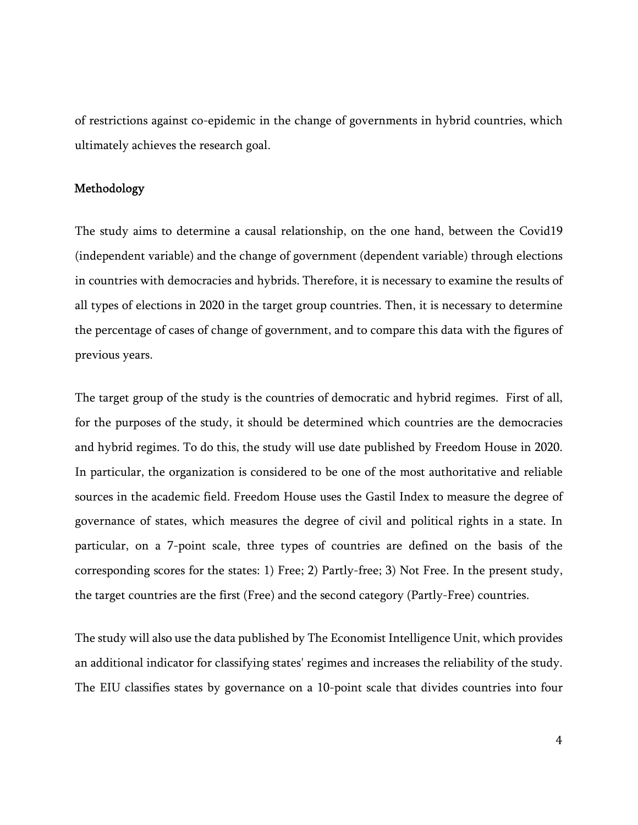of restrictions against co-epidemic in the change of governments in hybrid countries, which ultimately achieves the research goal.

# Methodology

The study aims to determine a causal relationship, on the one hand, between the Covid19 (independent variable) and the change of government (dependent variable) through elections in countries with democracies and hybrids. Therefore, it is necessary to examine the results of all types of elections in 2020 in the target group countries. Then, it is necessary to determine the percentage of cases of change of government, and to compare this data with the figures of previous years.

The target group of the study is the countries of democratic and hybrid regimes. First of all, for the purposes of the study, it should be determined which countries are the democracies and hybrid regimes. To do this, the study will use date published by Freedom House in 2020. In particular, the organization is considered to be one of the most authoritative and reliable sources in the academic field. Freedom House uses the Gastil Index to measure the degree of governance of states, which measures the degree of civil and political rights in a state. In particular, on a 7-point scale, three types of countries are defined on the basis of the corresponding scores for the states: 1) Free; 2) Partly-free; 3) Not Free. In the present study, the target countries are the first (Free) and the second category (Partly-Free) countries.

The study will also use the data published by The Economist Intelligence Unit, which provides an additional indicator for classifying states' regimes and increases the reliability of the study. The EIU classifies states by governance on a 10-point scale that divides countries into four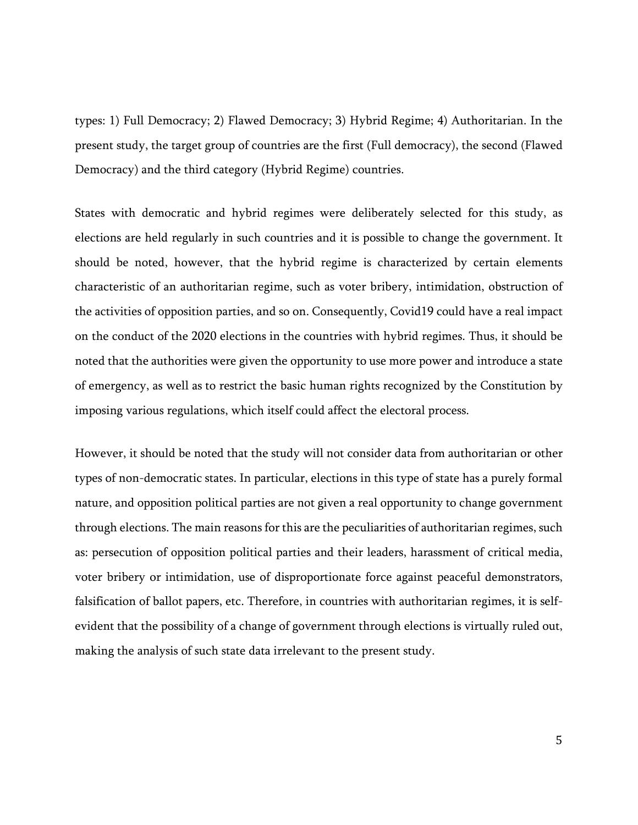types: 1) Full Democracy; 2) Flawed Democracy; 3) Hybrid Regime; 4) Authoritarian. In the present study, the target group of countries are the first (Full democracy), the second (Flawed Democracy) and the third category (Hybrid Regime) countries.

States with democratic and hybrid regimes were deliberately selected for this study, as elections are held regularly in such countries and it is possible to change the government. It should be noted, however, that the hybrid regime is characterized by certain elements characteristic of an authoritarian regime, such as voter bribery, intimidation, obstruction of the activities of opposition parties, and so on. Consequently, Covid19 could have a real impact on the conduct of the 2020 elections in the countries with hybrid regimes. Thus, it should be noted that the authorities were given the opportunity to use more power and introduce a state of emergency, as well as to restrict the basic human rights recognized by the Constitution by imposing various regulations, which itself could affect the electoral process.

However, it should be noted that the study will not consider data from authoritarian or other types of non-democratic states. In particular, elections in this type of state has a purely formal nature, and opposition political parties are not given a real opportunity to change government through elections. The main reasons for this are the peculiarities of authoritarian regimes, such as: persecution of opposition political parties and their leaders, harassment of critical media, voter bribery or intimidation, use of disproportionate force against peaceful demonstrators, falsification of ballot papers, etc. Therefore, in countries with authoritarian regimes, it is selfevident that the possibility of a change of government through elections is virtually ruled out, making the analysis of such state data irrelevant to the present study.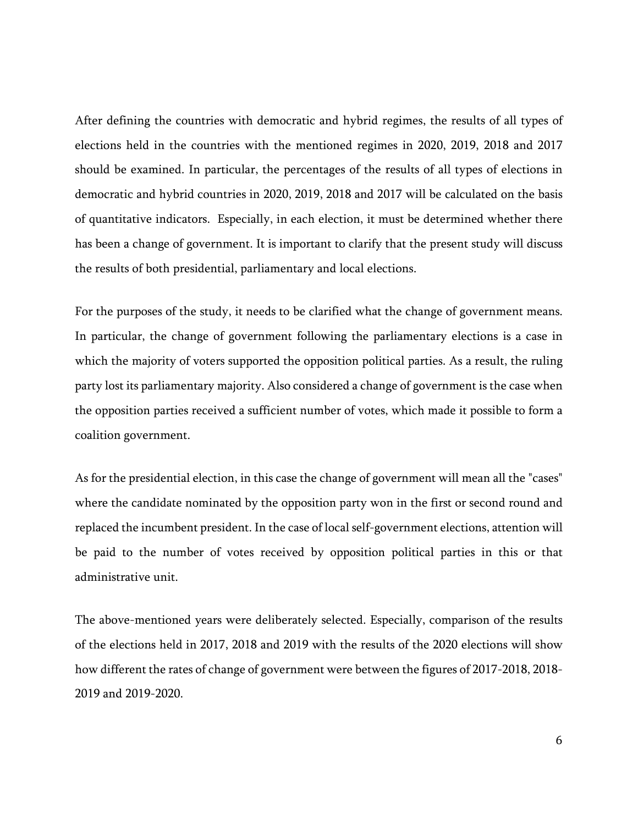After defining the countries with democratic and hybrid regimes, the results of all types of elections held in the countries with the mentioned regimes in 2020, 2019, 2018 and 2017 should be examined. In particular, the percentages of the results of all types of elections in democratic and hybrid countries in 2020, 2019, 2018 and 2017 will be calculated on the basis of quantitative indicators. Especially, in each election, it must be determined whether there has been a change of government. It is important to clarify that the present study will discuss the results of both presidential, parliamentary and local elections.

For the purposes of the study, it needs to be clarified what the change of government means. In particular, the change of government following the parliamentary elections is a case in which the majority of voters supported the opposition political parties. As a result, the ruling party lost its parliamentary majority. Also considered a change of government is the case when the opposition parties received a sufficient number of votes, which made it possible to form a coalition government.

As for the presidential election, in this case the change of government will mean all the "cases" where the candidate nominated by the opposition party won in the first or second round and replaced the incumbent president. In the case of local self-government elections, attention will be paid to the number of votes received by opposition political parties in this or that administrative unit.

The above-mentioned years were deliberately selected. Especially, comparison of the results of the elections held in 2017, 2018 and 2019 with the results of the 2020 elections will show how different the rates of change of government were between the figures of 2017-2018, 2018- 2019 and 2019-2020.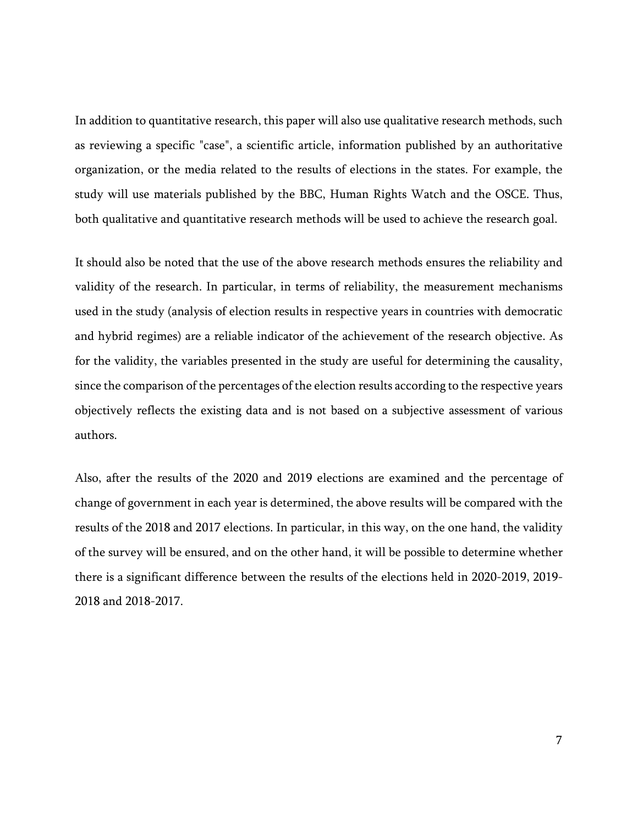In addition to quantitative research, this paper will also use qualitative research methods, such as reviewing a specific "case", a scientific article, information published by an authoritative organization, or the media related to the results of elections in the states. For example, the study will use materials published by the BBC, Human Rights Watch and the OSCE. Thus, both qualitative and quantitative research methods will be used to achieve the research goal.

It should also be noted that the use of the above research methods ensures the reliability and validity of the research. In particular, in terms of reliability, the measurement mechanisms used in the study (analysis of election results in respective years in countries with democratic and hybrid regimes) are a reliable indicator of the achievement of the research objective. As for the validity, the variables presented in the study are useful for determining the causality, since the comparison of the percentages of the election results according to the respective years objectively reflects the existing data and is not based on a subjective assessment of various authors.

Also, after the results of the 2020 and 2019 elections are examined and the percentage of change of government in each year is determined, the above results will be compared with the results of the 2018 and 2017 elections. In particular, in this way, on the one hand, the validity of the survey will be ensured, and on the other hand, it will be possible to determine whether there is a significant difference between the results of the elections held in 2020-2019, 2019- 2018 and 2018-2017.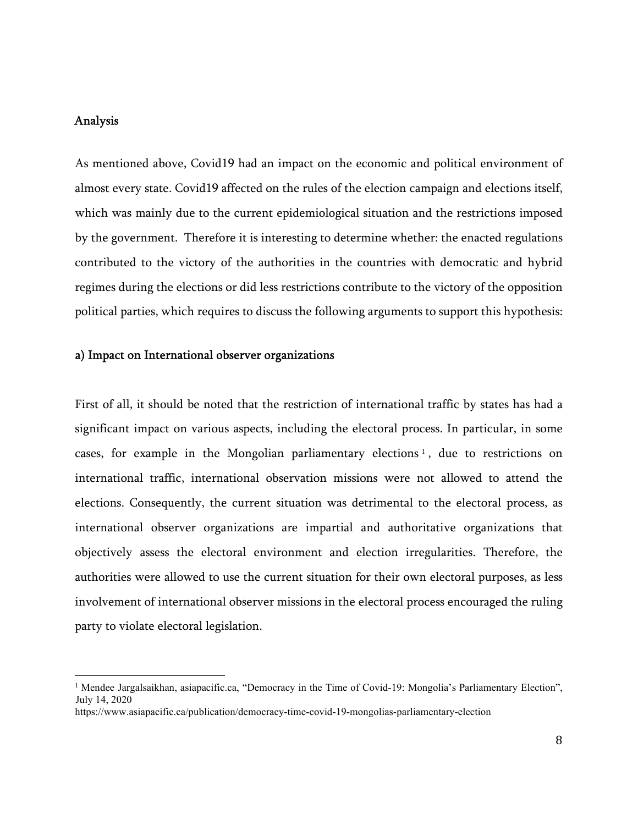# Analysis

As mentioned above, Covid19 had an impact on the economic and political environment of almost every state. Covid19 affected on the rules of the election campaign and elections itself, which was mainly due to the current epidemiological situation and the restrictions imposed by the government. Therefore it is interesting to determine whether: the enacted regulations contributed to the victory of the authorities in the countries with democratic and hybrid regimes during the elections or did less restrictions contribute to the victory of the opposition political parties, which requires to discuss the following arguments to support this hypothesis:

#### a) Impact on International observer organizations

First of all, it should be noted that the restriction of international traffic by states has had a significant impact on various aspects, including the electoral process. In particular, in some cases, for example in the Mongolian parliamentary elections <sup>1</sup> , due to restrictions on international traffic, international observation missions were not allowed to attend the elections. Consequently, the current situation was detrimental to the electoral process, as international observer organizations are impartial and authoritative organizations that objectively assess the electoral environment and election irregularities. Therefore, the authorities were allowed to use the current situation for their own electoral purposes, as less involvement of international observer missions in the electoral process encouraged the ruling party to violate electoral legislation.

<sup>&</sup>lt;sup>1</sup> Mendee Jargalsaikhan, asiapacific.ca, "Democracy in the Time of Covid-19: Mongolia's Parliamentary Election", July 14, 2020

https://www.asiapacific.ca/publication/democracy-time-covid-19-mongolias-parliamentary-election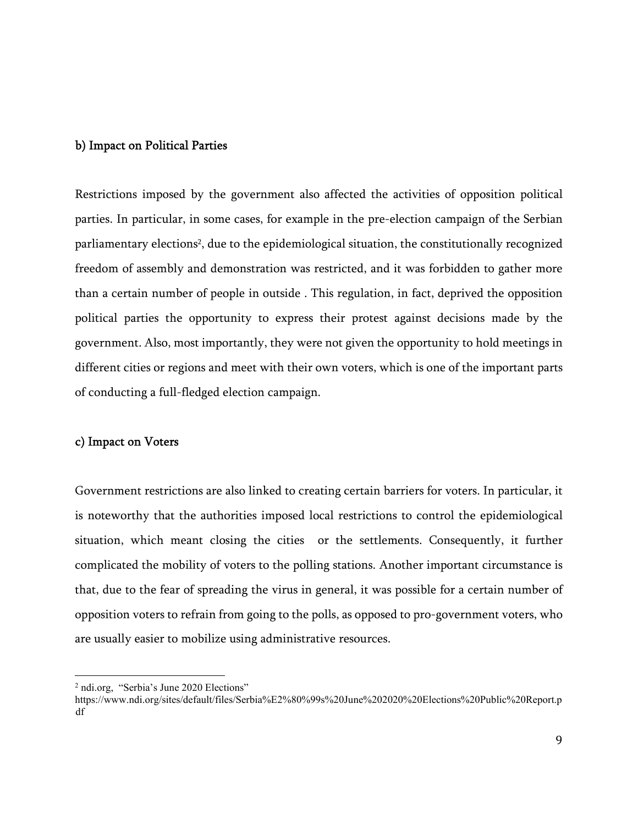#### b) Impact on Political Parties

Restrictions imposed by the government also affected the activities of opposition political parties. In particular, in some cases, for example in the pre-election campaign of the Serbian parliamentary elections<sup>2</sup>, due to the epidemiological situation, the constitutionally recognized freedom of assembly and demonstration was restricted, and it was forbidden to gather more than a certain number of people in outside . This regulation, in fact, deprived the opposition political parties the opportunity to express their protest against decisions made by the government. Also, most importantly, they were not given the opportunity to hold meetings in different cities or regions and meet with their own voters, which is one of the important parts of conducting a full-fledged election campaign.

# c) Impact on Voters

Government restrictions are also linked to creating certain barriers for voters. In particular, it is noteworthy that the authorities imposed local restrictions to control the epidemiological situation, which meant closing the cities or the settlements. Consequently, it further complicated the mobility of voters to the polling stations. Another important circumstance is that, due to the fear of spreading the virus in general, it was possible for a certain number of opposition voters to refrain from going to the polls, as opposed to pro-government voters, who are usually easier to mobilize using administrative resources.

<sup>&</sup>lt;sup>2</sup> ndi.org, "Serbia's June 2020 Elections"

https://www.ndi.org/sites/default/files/Serbia%E2%80%99s%20June%202020%20Elections%20Public%20Report.p df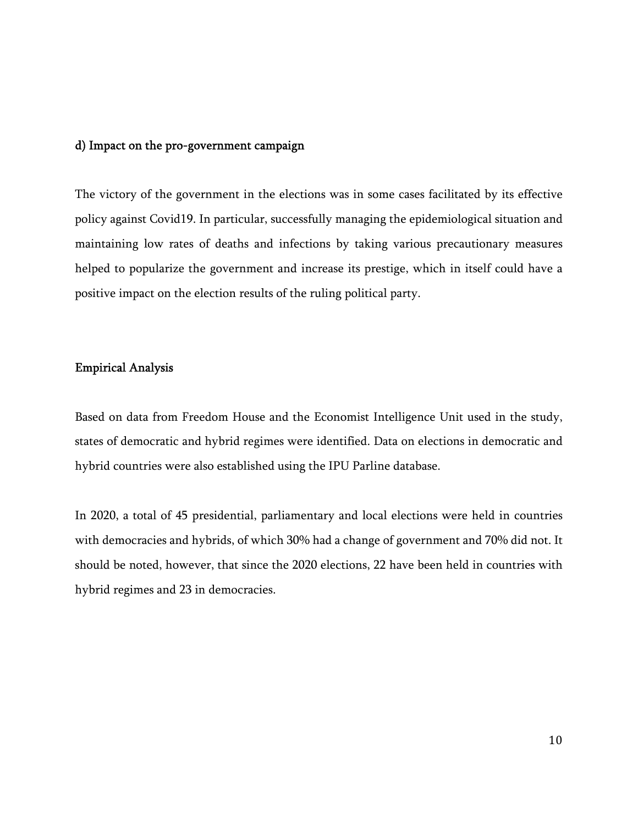# d) Impact on the pro-government campaign

The victory of the government in the elections was in some cases facilitated by its effective policy against Covid19. In particular, successfully managing the epidemiological situation and maintaining low rates of deaths and infections by taking various precautionary measures helped to popularize the government and increase its prestige, which in itself could have a positive impact on the election results of the ruling political party.

# Empirical Analysis

Based on data from Freedom House and the Economist Intelligence Unit used in the study, states of democratic and hybrid regimes were identified. Data on elections in democratic and hybrid countries were also established using the IPU Parline database.

In 2020, a total of 45 presidential, parliamentary and local elections were held in countries with democracies and hybrids, of which 30% had a change of government and 70% did not. It should be noted, however, that since the 2020 elections, 22 have been held in countries with hybrid regimes and 23 in democracies.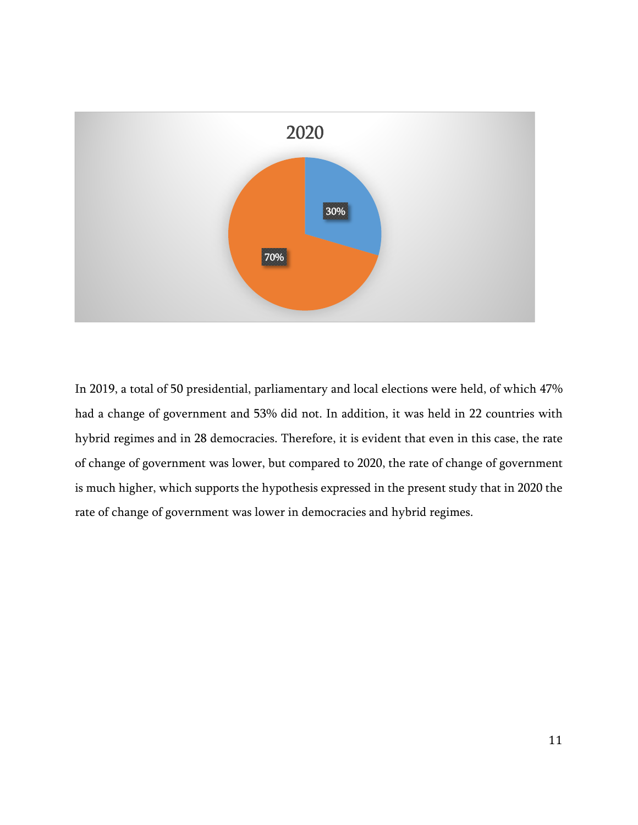

In 2019, a total of 50 presidential, parliamentary and local elections were held, of which 47% had a change of government and 53% did not. In addition, it was held in 22 countries with hybrid regimes and in 28 democracies. Therefore, it is evident that even in this case, the rate of change of government was lower, but compared to 2020, the rate of change of government is much higher, which supports the hypothesis expressed in the present study that in 2020 the rate of change of government was lower in democracies and hybrid regimes.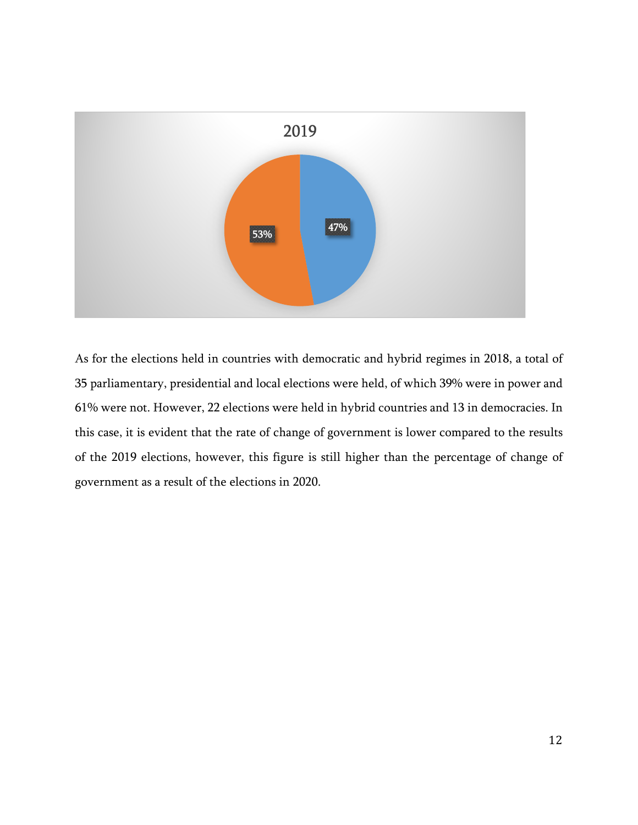

As for the elections held in countries with democratic and hybrid regimes in 2018, a total of 35 parliamentary, presidential and local elections were held, of which 39% were in power and 61% were not. However, 22 elections were held in hybrid countries and 13 in democracies. In this case, it is evident that the rate of change of government is lower compared to the results of the 2019 elections, however, this figure is still higher than the percentage of change of government as a result of the elections in 2020.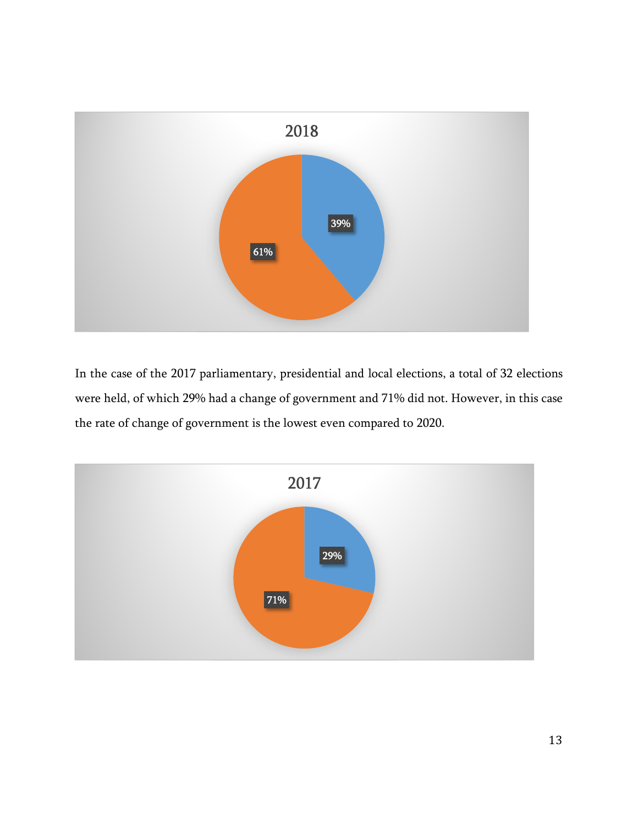

In the case of the 2017 parliamentary, presidential and local elections, a total of 32 elections were held, of which 29% had a change of government and 71% did not. However, in this case the rate of change of government is the lowest even compared to 2020.

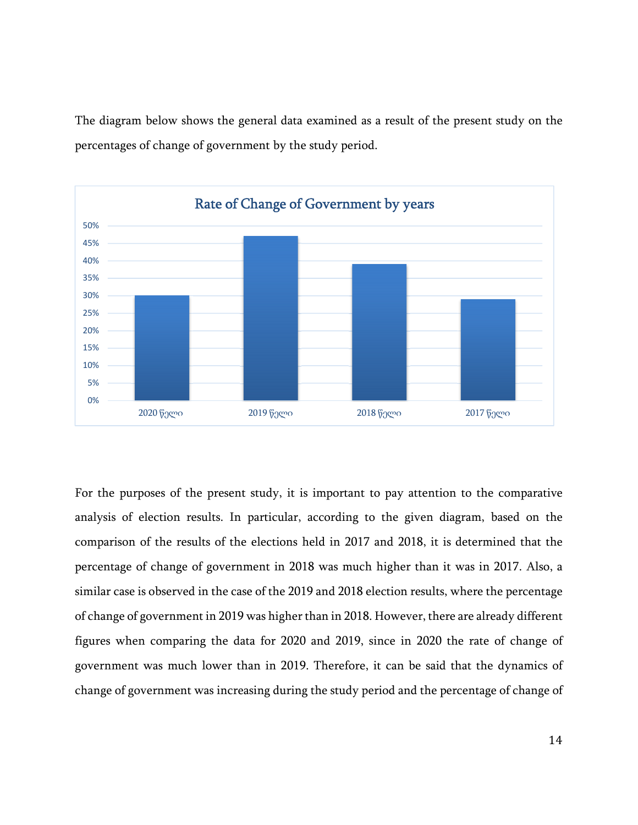The diagram below shows the general data examined as a result of the present study on the percentages of change of government by the study period.



For the purposes of the present study, it is important to pay attention to the comparative analysis of election results. In particular, according to the given diagram, based on the comparison of the results of the elections held in 2017 and 2018, it is determined that the percentage of change of government in 2018 was much higher than it was in 2017. Also, a similar case is observed in the case of the 2019 and 2018 election results, where the percentage of change of government in 2019 was higher than in 2018. However, there are already different figures when comparing the data for 2020 and 2019, since in 2020 the rate of change of government was much lower than in 2019. Therefore, it can be said that the dynamics of change of government was increasing during the study period and the percentage of change of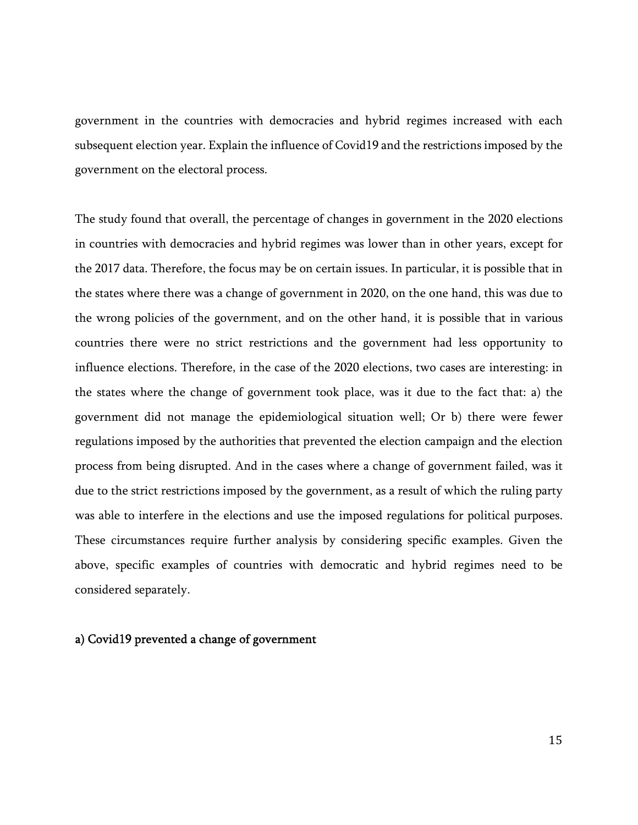government in the countries with democracies and hybrid regimes increased with each subsequent election year. Explain the influence of Covid19 and the restrictions imposed by the government on the electoral process.

The study found that overall, the percentage of changes in government in the 2020 elections in countries with democracies and hybrid regimes was lower than in other years, except for the 2017 data. Therefore, the focus may be on certain issues. In particular, it is possible that in the states where there was a change of government in 2020, on the one hand, this was due to the wrong policies of the government, and on the other hand, it is possible that in various countries there were no strict restrictions and the government had less opportunity to influence elections. Therefore, in the case of the 2020 elections, two cases are interesting: in the states where the change of government took place, was it due to the fact that: a) the government did not manage the epidemiological situation well; Or b) there were fewer regulations imposed by the authorities that prevented the election campaign and the election process from being disrupted. And in the cases where a change of government failed, was it due to the strict restrictions imposed by the government, as a result of which the ruling party was able to interfere in the elections and use the imposed regulations for political purposes. These circumstances require further analysis by considering specific examples. Given the above, specific examples of countries with democratic and hybrid regimes need to be considered separately.

#### a) Covid19 prevented a change of government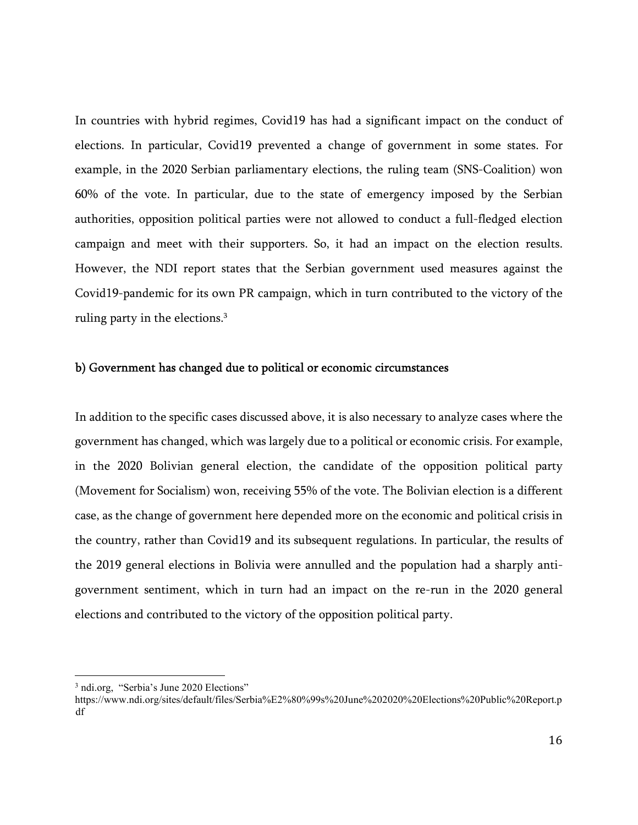In countries with hybrid regimes, Covid19 has had a significant impact on the conduct of elections. In particular, Covid19 prevented a change of government in some states. For example, in the 2020 Serbian parliamentary elections, the ruling team (SNS-Coalition) won 60% of the vote. In particular, due to the state of emergency imposed by the Serbian authorities, opposition political parties were not allowed to conduct a full-fledged election campaign and meet with their supporters. So, it had an impact on the election results. However, the NDI report states that the Serbian government used measures against the Covid19-pandemic for its own PR campaign, which in turn contributed to the victory of the ruling party in the elections.<sup>3</sup>

#### b) Government has changed due to political or economic circumstances

In addition to the specific cases discussed above, it is also necessary to analyze cases where the government has changed, which was largely due to a political or economic crisis. For example, in the 2020 Bolivian general election, the candidate of the opposition political party (Movement for Socialism) won, receiving 55% of the vote. The Bolivian election is a different case, as the change of government here depended more on the economic and political crisis in the country, rather than Covid19 and its subsequent regulations. In particular, the results of the 2019 general elections in Bolivia were annulled and the population had a sharply antigovernment sentiment, which in turn had an impact on the re-run in the 2020 general elections and contributed to the victory of the opposition political party.

<sup>3</sup> ndi.org, "Serbia's June 2020 Elections"

https://www.ndi.org/sites/default/files/Serbia%E2%80%99s%20June%202020%20Elections%20Public%20Report.p df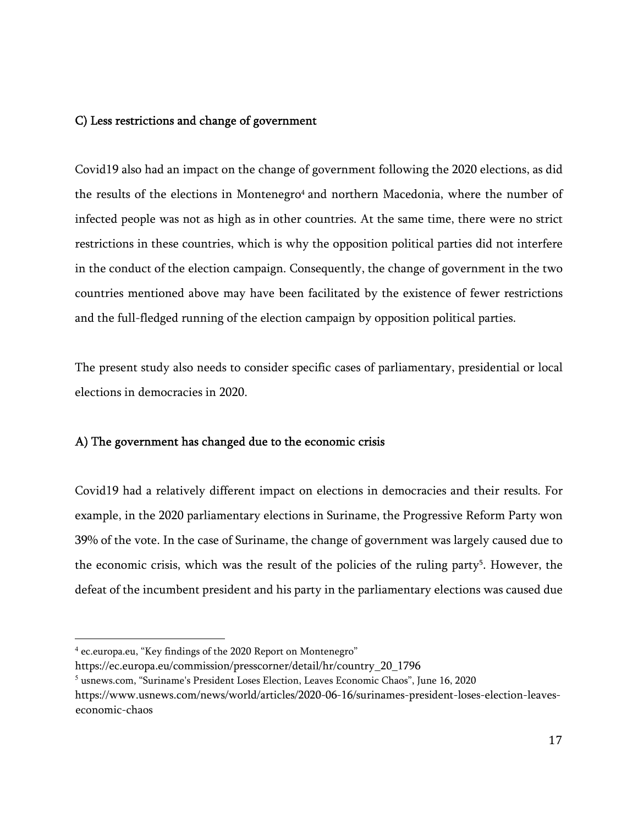# C) Less restrictions and change of government

Covid19 also had an impact on the change of government following the 2020 elections, as did the results of the elections in Montenegro<sup>4</sup> and northern Macedonia, where the number of infected people was not as high as in other countries. At the same time, there were no strict restrictions in these countries, which is why the opposition political parties did not interfere in the conduct of the election campaign. Consequently, the change of government in the two countries mentioned above may have been facilitated by the existence of fewer restrictions and the full-fledged running of the election campaign by opposition political parties.

The present study also needs to consider specific cases of parliamentary, presidential or local elections in democracies in 2020.

# A) The government has changed due to the economic crisis

Covid19 had a relatively different impact on elections in democracies and their results. For example, in the 2020 parliamentary elections in Suriname, the Progressive Reform Party won 39% of the vote. In the case of Suriname, the change of government was largely caused due to the economic crisis, which was the result of the policies of the ruling party<sup>5</sup>. However, the defeat of the incumbent president and his party in the parliamentary elections was caused due

<sup>4</sup> ec.europa.eu, "Key findings of the 2020 Report on Montenegro"

https://ec.europa.eu/commission/presscorner/detail/hr/country\_20\_1796

 $<sup>5</sup>$  usnews.com, "Suriname's President Loses Election, Leaves Economic Chaos", June 16, 2020</sup>

https://www.usnews.com/news/world/articles/2020-06-16/surinames-president-loses-election-leaveseconomic-chaos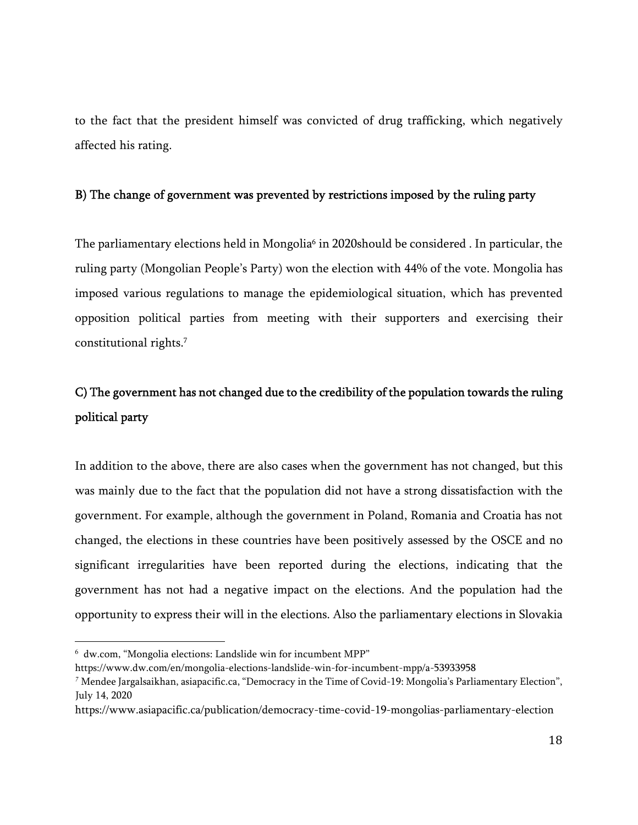to the fact that the president himself was convicted of drug trafficking, which negatively affected his rating.

# B) The change of government was prevented by restrictions imposed by the ruling party

The parliamentary elections held in Mongolia<sup>6</sup> in 2020should be considered . In particular, the ruling party (Mongolian People's Party) won the election with 44% of the vote. Mongolia has imposed various regulations to manage the epidemiological situation, which has prevented opposition political parties from meeting with their supporters and exercising their constitutional rights.<sup>7</sup>

# C) The government has not changed due to the credibility of the population towards the ruling political party

In addition to the above, there are also cases when the government has not changed, but this was mainly due to the fact that the population did not have a strong dissatisfaction with the government. For example, although the government in Poland, Romania and Croatia has not changed, the elections in these countries have been positively assessed by the OSCE and no significant irregularities have been reported during the elections, indicating that the government has not had a negative impact on the elections. And the population had the opportunity to express their will in the elections. Also the parliamentary elections in Slovakia

 $<sup>6</sup>$  dw.com, "Mongolia elections: Landslide win for incumbent MPP"</sup>

https://www.dw.com/en/mongolia-elections-landslide-win-for-incumbent-mpp/a-53933958

*<sup>7</sup>* Mendee Jargalsaikhan, asiapacific.ca, "Democracy in the Time of Covid-19: Mongolia's Parliamentary Election", July 14, 2020

https://www.asiapacific.ca/publication/democracy-time-covid-19-mongolias-parliamentary-election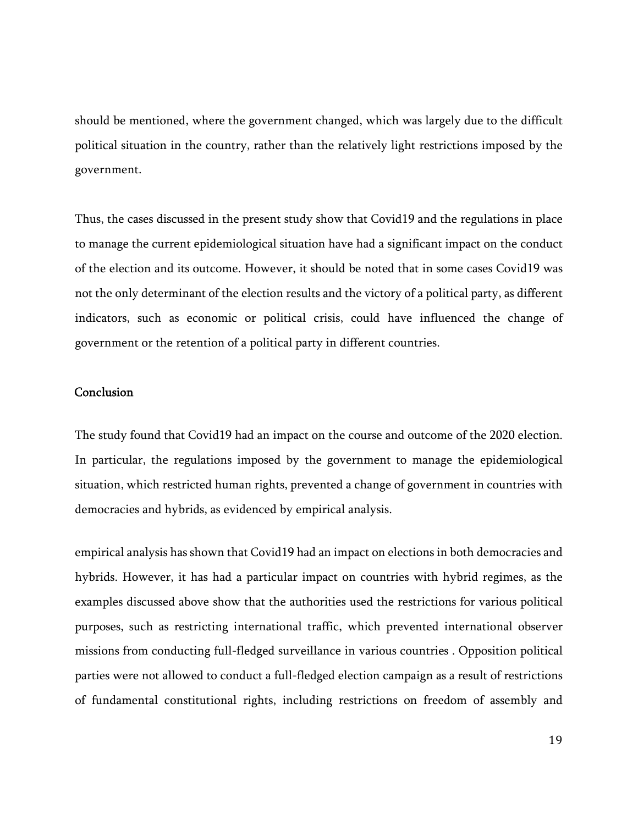should be mentioned, where the government changed, which was largely due to the difficult political situation in the country, rather than the relatively light restrictions imposed by the government.

Thus, the cases discussed in the present study show that Covid19 and the regulations in place to manage the current epidemiological situation have had a significant impact on the conduct of the election and its outcome. However, it should be noted that in some cases Covid19 was not the only determinant of the election results and the victory of a political party, as different indicators, such as economic or political crisis, could have influenced the change of government or the retention of a political party in different countries.

#### **Conclusion**

The study found that Covid19 had an impact on the course and outcome of the 2020 election. In particular, the regulations imposed by the government to manage the epidemiological situation, which restricted human rights, prevented a change of government in countries with democracies and hybrids, as evidenced by empirical analysis.

empirical analysis has shown that Covid19 had an impact on elections in both democracies and hybrids. However, it has had a particular impact on countries with hybrid regimes, as the examples discussed above show that the authorities used the restrictions for various political purposes, such as restricting international traffic, which prevented international observer missions from conducting full-fledged surveillance in various countries . Opposition political parties were not allowed to conduct a full-fledged election campaign as a result of restrictions of fundamental constitutional rights, including restrictions on freedom of assembly and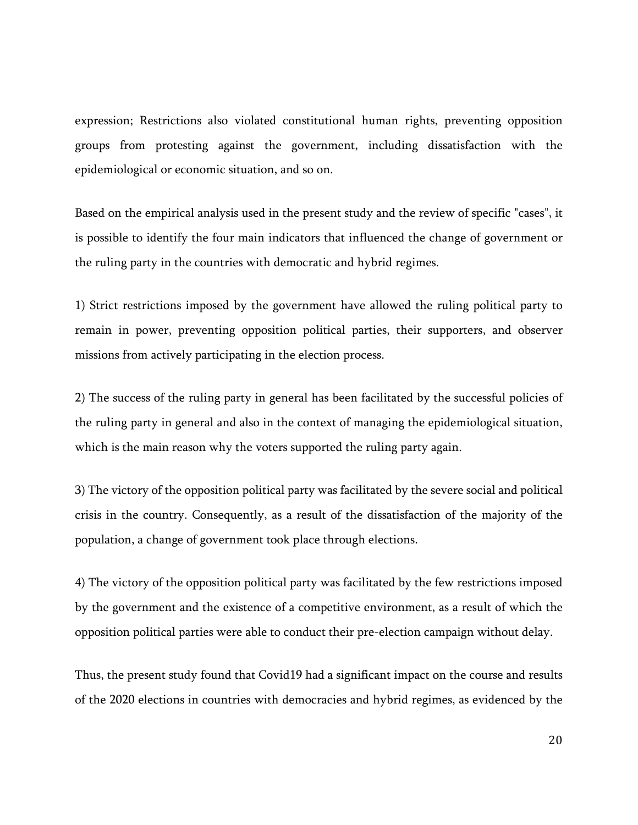expression; Restrictions also violated constitutional human rights, preventing opposition groups from protesting against the government, including dissatisfaction with the epidemiological or economic situation, and so on.

Based on the empirical analysis used in the present study and the review of specific "cases", it is possible to identify the four main indicators that influenced the change of government or the ruling party in the countries with democratic and hybrid regimes.

1) Strict restrictions imposed by the government have allowed the ruling political party to remain in power, preventing opposition political parties, their supporters, and observer missions from actively participating in the election process.

2) The success of the ruling party in general has been facilitated by the successful policies of the ruling party in general and also in the context of managing the epidemiological situation, which is the main reason why the voters supported the ruling party again.

3) The victory of the opposition political party was facilitated by the severe social and political crisis in the country. Consequently, as a result of the dissatisfaction of the majority of the population, a change of government took place through elections.

4) The victory of the opposition political party was facilitated by the few restrictions imposed by the government and the existence of a competitive environment, as a result of which the opposition political parties were able to conduct their pre-election campaign without delay.

Thus, the present study found that Covid19 had a significant impact on the course and results of the 2020 elections in countries with democracies and hybrid regimes, as evidenced by the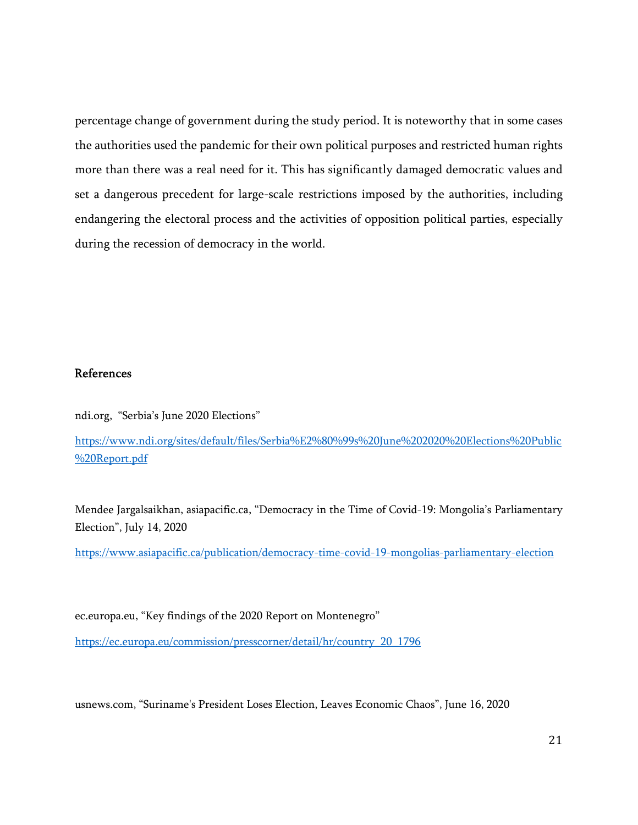percentage change of government during the study period. It is noteworthy that in some cases the authorities used the pandemic for their own political purposes and restricted human rights more than there was a real need for it. This has significantly damaged democratic values and set a dangerous precedent for large-scale restrictions imposed by the authorities, including endangering the electoral process and the activities of opposition political parties, especially during the recession of democracy in the world.

# References

ndi.org, "Serbia's June 2020 Elections"

https://www.ndi.org/sites/default/files/Serbia%E2%80%99s%20June%202020%20Elections%20Public %20Report.pdf

Mendee Jargalsaikhan, asiapacific.ca, "Democracy in the Time of Covid-19: Mongolia's Parliamentary Election", July 14, 2020

https://www.asiapacific.ca/publication/democracy-time-covid-19-mongolias-parliamentary-election

ec.europa.eu, "Key findings of the 2020 Report on Montenegro"

https://ec.europa.eu/commission/presscorner/detail/hr/country\_20\_1796

usnews.com, "Suriname's President Loses Election, Leaves Economic Chaos", June 16, 2020